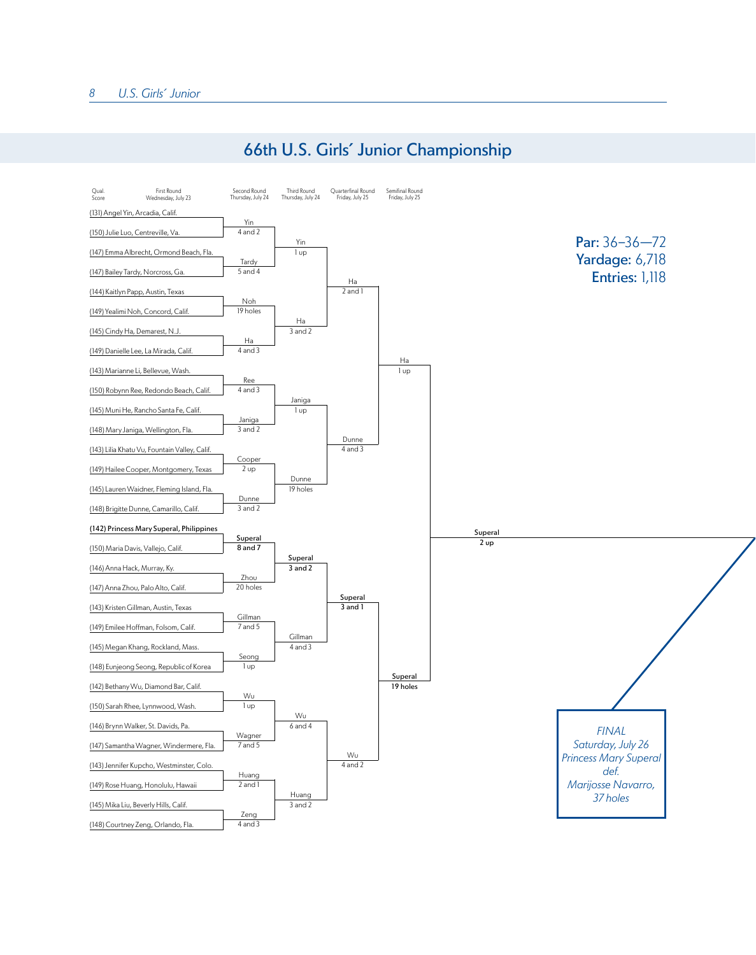## 66th U.S. Girls' Junior Championship

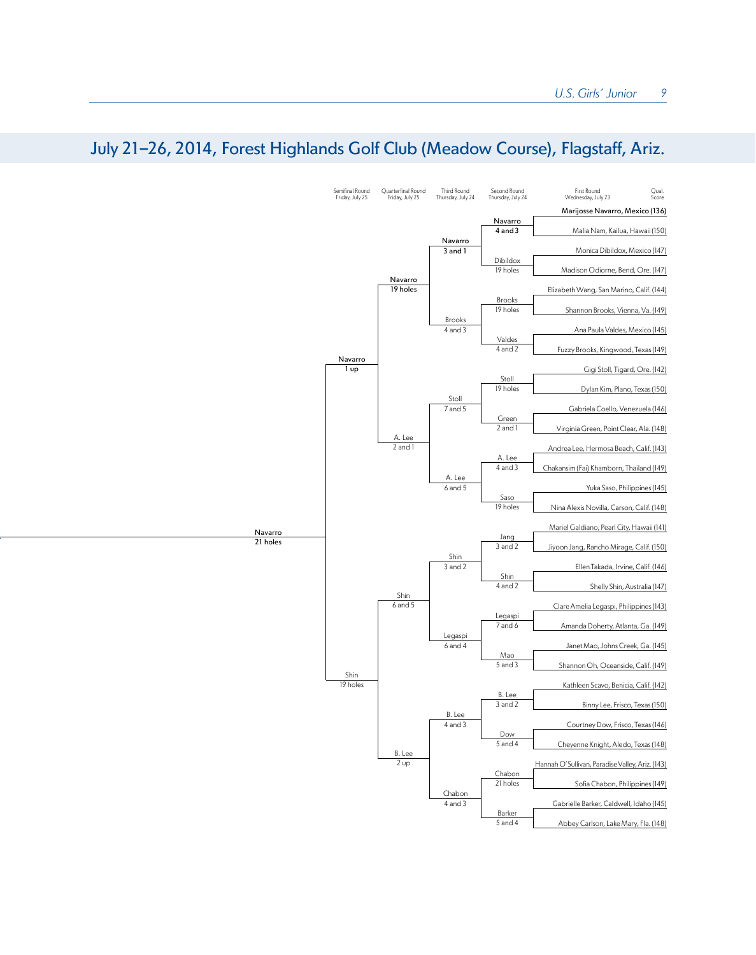## July 21-26, 2014, Forest Highlands Golf Club (Meadow Course), Flagstaff, Ariz.